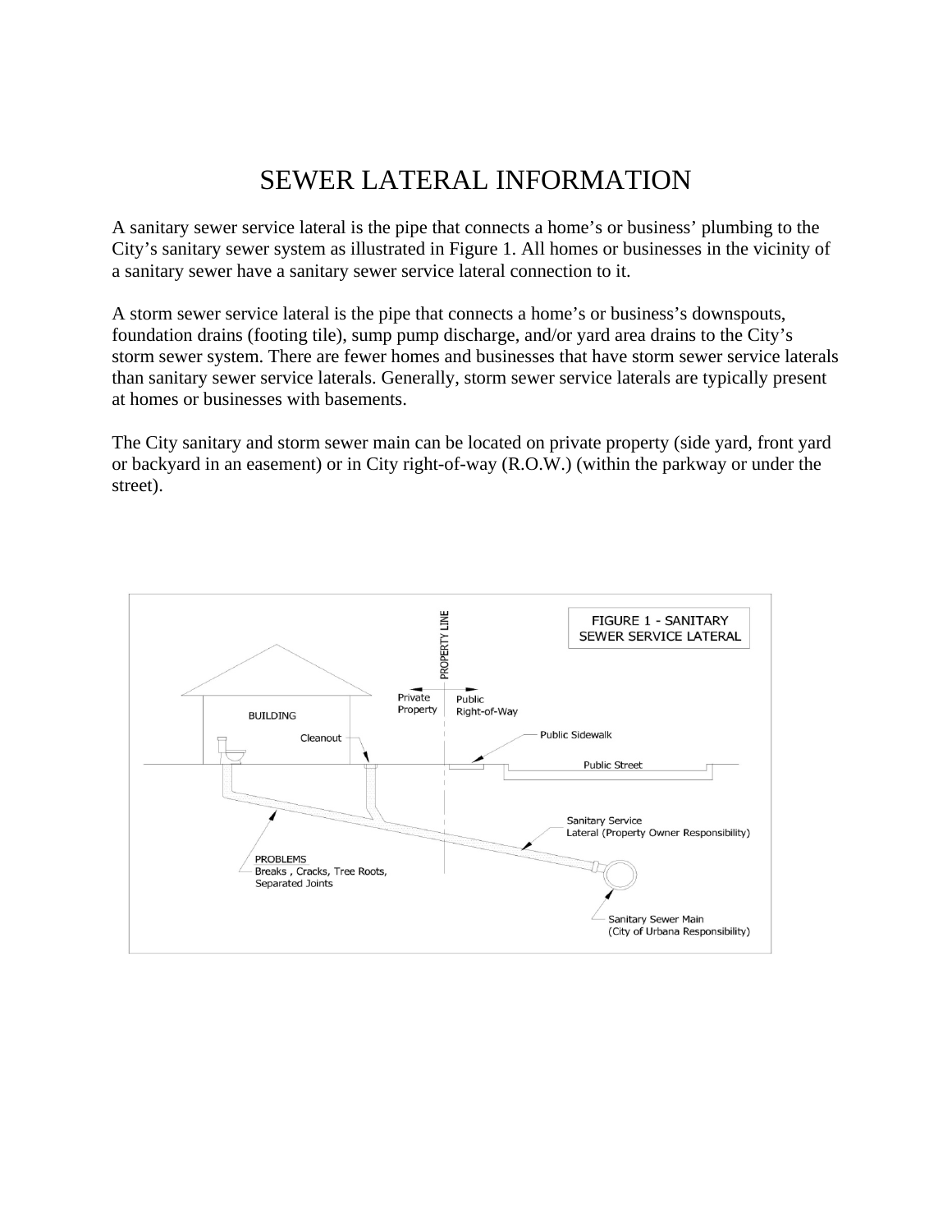## SEWER LATERAL INFORMATION

A sanitary sewer service lateral is the pipe that connects a home's or business' plumbing to the City's sanitary sewer system as illustrated in Figure 1. All homes or businesses in the vicinity of a sanitary sewer have a sanitary sewer service lateral connection to it.

A storm sewer service lateral is the pipe that connects a home's or business's downspouts, foundation drains (footing tile), sump pump discharge, and/or yard area drains to the City's storm sewer system. There are fewer homes and businesses that have storm sewer service laterals than sanitary sewer service laterals. Generally, storm sewer service laterals are typically present at homes or businesses with basements.

The City sanitary and storm sewer main can be located on private property (side yard, front yard or backyard in an easement) or in City right-of-way (R.O.W.) (within the parkway or under the street).

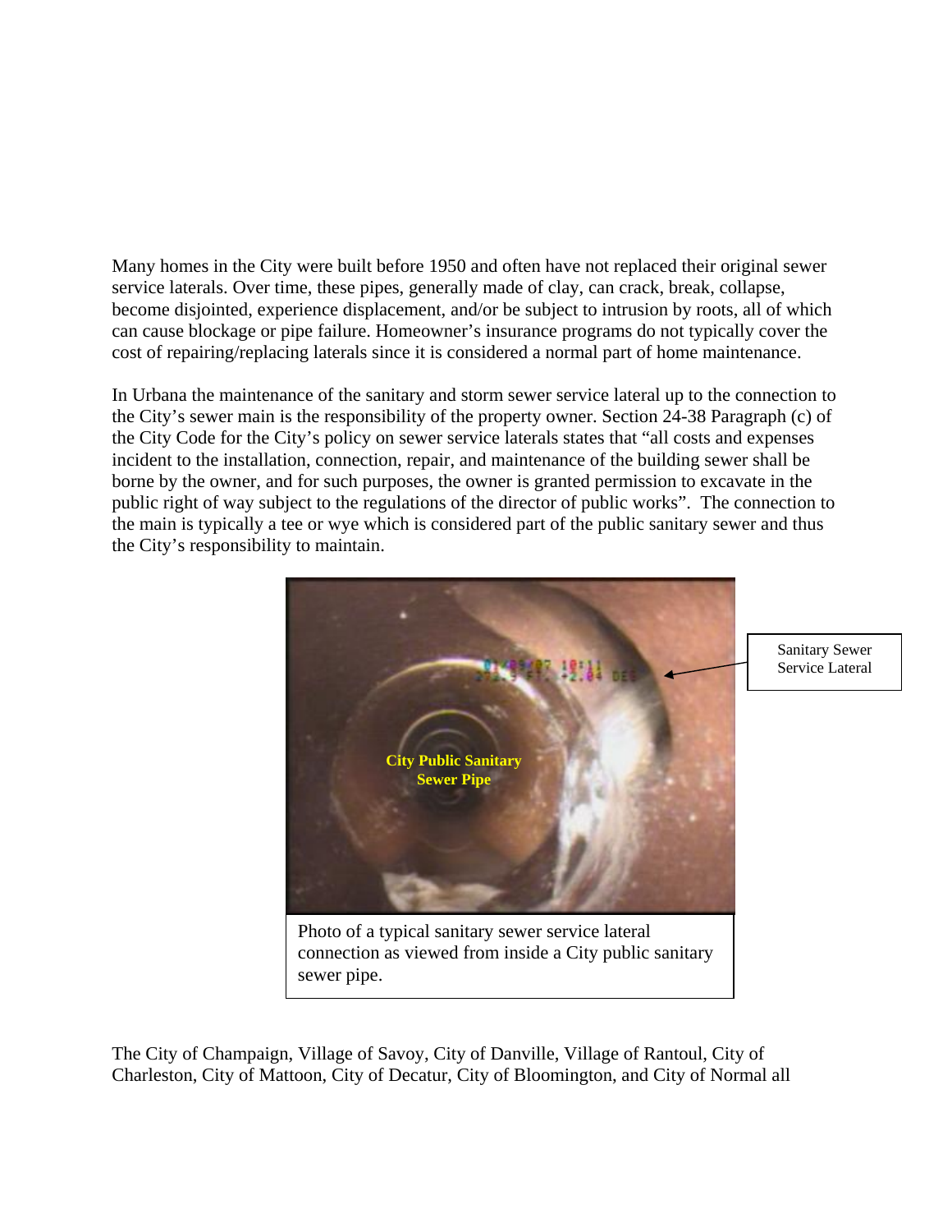Many homes in the City were built before 1950 and often have not replaced their original sewer service laterals. Over time, these pipes, generally made of clay, can crack, break, collapse, become disjointed, experience displacement, and/or be subject to intrusion by roots, all of which can cause blockage or pipe failure. Homeowner's insurance programs do not typically cover the cost of repairing/replacing laterals since it is considered a normal part of home maintenance.

In Urbana the maintenance of the sanitary and storm sewer service lateral up to the connection to the City's sewer main is the responsibility of the property owner. Section 24-38 Paragraph (c) of the City Code for the City's policy on sewer service laterals states that "all costs and expenses incident to the installation, connection, repair, and maintenance of the building sewer shall be borne by the owner, and for such purposes, the owner is granted permission to excavate in the public right of way subject to the regulations of the director of public works". The connection to the main is typically a tee or wye which is considered part of the public sanitary sewer and thus the City's responsibility to maintain.



Sanitary Sewer Service Lateral

The City of Champaign, Village of Savoy, City of Danville, Village of Rantoul, City of Charleston, City of Mattoon, City of Decatur, City of Bloomington, and City of Normal all